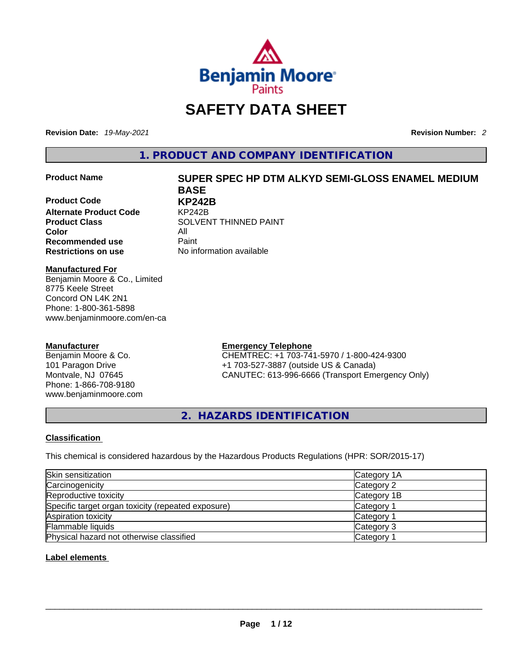

# **SAFETY DATA SHEET**

**Revision Date:** *19-May-2021* **Revision Number:** *2*

**1. PRODUCT AND COMPANY IDENTIFICATION** 

**Product Code KP242B Alternate Product Code** KP242B **Color** All<br> **Recommended use** Paint **Recommended use**<br>**Restrictions on use** 

## **Product Name SUPER SPEC HP DTM ALKYD SEMI-GLOSS ENAMEL MEDIUM BASE**

**Product Class SOLVENT THINNED PAINT No information available** 

#### **Manufactured For**

Benjamin Moore & Co., Limited 8775 Keele Street Concord ON L4K 2N1 Phone: 1-800-361-5898 www.benjaminmoore.com/en-ca

#### **Manufacturer**

Benjamin Moore & Co. 101 Paragon Drive Montvale, NJ 07645 Phone: 1-866-708-9180 www.benjaminmoore.com

#### **Emergency Telephone**

CHEMTREC: +1 703-741-5970 / 1-800-424-9300 +1 703-527-3887 (outside US & Canada) CANUTEC: 613-996-6666 (Transport Emergency Only)

**2. HAZARDS IDENTIFICATION** 

#### **Classification**

This chemical is considered hazardous by the Hazardous Products Regulations (HPR: SOR/2015-17)

| Skin sensitization                                 | Category 1A |
|----------------------------------------------------|-------------|
| Carcinogenicity                                    | Category 2  |
| Reproductive toxicity                              | Category 1B |
| Specific target organ toxicity (repeated exposure) | Category 1  |
| Aspiration toxicity                                | Category 1  |
| Flammable liquids                                  | Category 3  |
| Physical hazard not otherwise classified           | Category    |

#### **Label elements**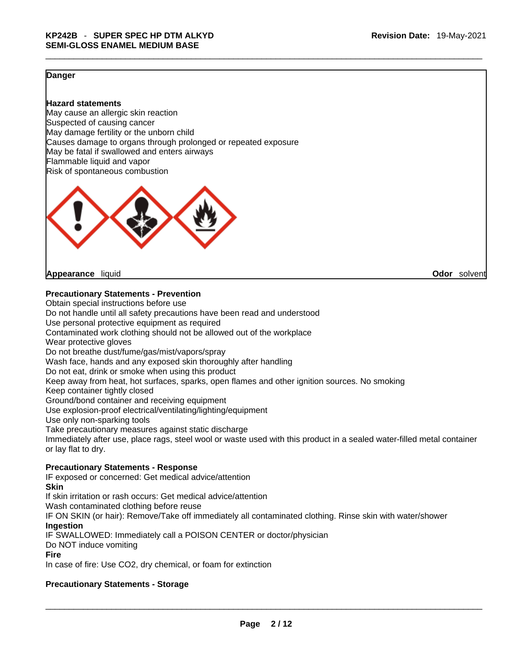#### **Danger**

#### **Hazard statements**

May cause an allergic skin reaction Suspected of causing cancer May damage fertility or the unborn child Causes damage to organs through prolonged or repeated exposure May be fatal if swallowed and enters airways Flammable liquid and vapor Risk of spontaneous combustion



**Appearance** liquid **Odor** solvent

#### **Precautionary Statements - Prevention**

Obtain special instructions before use Do not handle until all safety precautions have been read and understood Use personal protective equipment as required Contaminated work clothing should not be allowed out of the workplace Wear protective gloves Do not breathe dust/fume/gas/mist/vapors/spray Wash face, hands and any exposed skin thoroughly after handling Do not eat, drink or smoke when using this product Keep away from heat, hot surfaces, sparks, open flames and other ignition sources. No smoking Keep container tightly closed Ground/bond container and receiving equipment Use explosion-proof electrical/ventilating/lighting/equipment Use only non-sparking tools Take precautionary measures against static discharge Immediately after use, place rags, steel wool or waste used with this product in a sealed water-filled metal container or lay flat to dry. **Precautionary Statements - Response** IF exposed or concerned: Get medical advice/attention **Skin**

If skin irritation or rash occurs: Get medical advice/attention Wash contaminated clothing before reuse IF ON SKIN (or hair): Remove/Take off immediately all contaminated clothing. Rinse skin with water/shower **Ingestion** IF SWALLOWED: Immediately call a POISON CENTER or doctor/physician Do NOT induce vomiting **Fire**

In case of fire: Use CO2, dry chemical, or foam for extinction

#### **Precautionary Statements - Storage**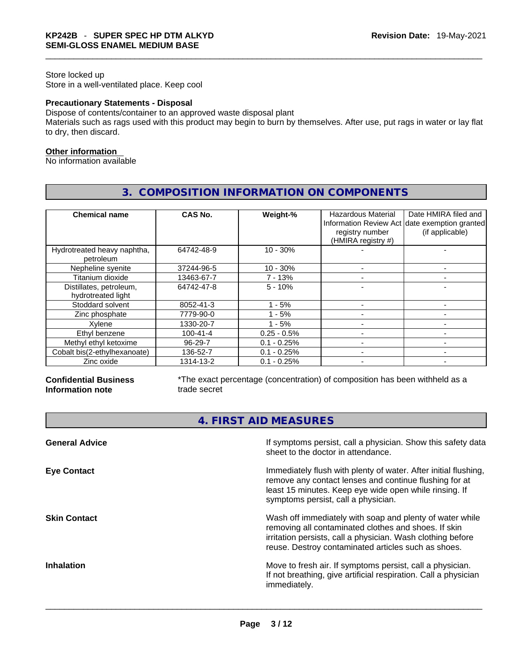#### Store locked up Store in a well-ventilated place. Keep cool

#### **Precautionary Statements - Disposal**

Dispose of contents/container to an approved waste disposal plant

Materials such as rags used with this product may begin to burn by themselves. After use, put rags in water or lay flat to dry, then discard.

#### **Other information**

No information available

| <b>Chemical name</b>                          | CAS No.        | Weight-%      | <b>Hazardous Material</b><br>registry number<br>(HMIRA registry #) | Date HMIRA filed and<br>Information Review Act date exemption granted<br>(if applicable) |
|-----------------------------------------------|----------------|---------------|--------------------------------------------------------------------|------------------------------------------------------------------------------------------|
| Hydrotreated heavy naphtha,<br>petroleum      | 64742-48-9     | $10 - 30%$    |                                                                    |                                                                                          |
| Nepheline syenite                             | 37244-96-5     | $10 - 30%$    |                                                                    |                                                                                          |
| Titanium dioxide                              | 13463-67-7     | $7 - 13%$     |                                                                    |                                                                                          |
| Distillates, petroleum,<br>hydrotreated light | 64742-47-8     | $5 - 10%$     |                                                                    |                                                                                          |
| Stoddard solvent                              | 8052-41-3      | - 5%          |                                                                    |                                                                                          |
| Zinc phosphate                                | 7779-90-0      | $1 - 5%$      |                                                                    |                                                                                          |
| Xvlene                                        | 1330-20-7      | $1 - 5%$      |                                                                    |                                                                                          |
| Ethyl benzene                                 | $100 - 41 - 4$ | $0.25 - 0.5%$ |                                                                    |                                                                                          |
| Methyl ethyl ketoxime                         | $96 - 29 - 7$  | $0.1 - 0.25%$ |                                                                    |                                                                                          |
| Cobalt bis(2-ethylhexanoate)                  | 136-52-7       | $0.1 - 0.25%$ |                                                                    |                                                                                          |
| Zinc oxide                                    | 1314-13-2      | $0.1 - 0.25%$ |                                                                    |                                                                                          |

# **3. COMPOSITION INFORMATION ON COMPONENTS**

#### **Confidential Business Information note**

\*The exact percentage (concentration) of composition has been withheld as a trade secret

**4. FIRST AID MEASURES** 

| If symptoms persist, call a physician. Show this safety data<br>sheet to the doctor in attendance.                                                                                                                                     |
|----------------------------------------------------------------------------------------------------------------------------------------------------------------------------------------------------------------------------------------|
| Immediately flush with plenty of water. After initial flushing,<br>remove any contact lenses and continue flushing for at<br>least 15 minutes. Keep eye wide open while rinsing. If<br>symptoms persist, call a physician.             |
| Wash off immediately with soap and plenty of water while<br>removing all contaminated clothes and shoes. If skin<br>irritation persists, call a physician. Wash clothing before<br>reuse. Destroy contaminated articles such as shoes. |
| Move to fresh air. If symptoms persist, call a physician.<br>If not breathing, give artificial respiration. Call a physician<br>immediately.                                                                                           |
|                                                                                                                                                                                                                                        |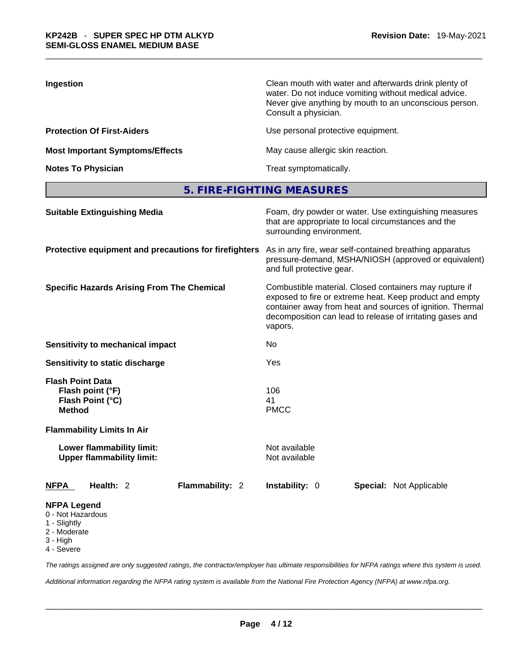| Ingestion                              | Clean mouth with water and afterwards drink plenty of<br>water. Do not induce vomiting without medical advice.<br>Never give anything by mouth to an unconscious person.<br>Consult a physician. |
|----------------------------------------|--------------------------------------------------------------------------------------------------------------------------------------------------------------------------------------------------|
| <b>Protection Of First-Aiders</b>      | Use personal protective equipment.                                                                                                                                                               |
| <b>Most Important Symptoms/Effects</b> | May cause allergic skin reaction.                                                                                                                                                                |
| <b>Notes To Physician</b>              | Treat symptomatically.                                                                                                                                                                           |

**5. FIRE-FIGHTING MEASURES** 

| <b>Suitable Extinguishing Media</b>                                                 | Foam, dry powder or water. Use extinguishing measures<br>that are appropriate to local circumstances and the<br>surrounding environment.<br>As in any fire, wear self-contained breathing apparatus<br>pressure-demand, MSHA/NIOSH (approved or equivalent)<br>and full protective gear. |  |  |  |
|-------------------------------------------------------------------------------------|------------------------------------------------------------------------------------------------------------------------------------------------------------------------------------------------------------------------------------------------------------------------------------------|--|--|--|
| Protective equipment and precautions for firefighters                               |                                                                                                                                                                                                                                                                                          |  |  |  |
| <b>Specific Hazards Arising From The Chemical</b>                                   | Combustible material. Closed containers may rupture if<br>exposed to fire or extreme heat. Keep product and empty<br>container away from heat and sources of ignition. Thermal<br>decomposition can lead to release of irritating gases and<br>vapors.                                   |  |  |  |
| Sensitivity to mechanical impact                                                    | No                                                                                                                                                                                                                                                                                       |  |  |  |
| Sensitivity to static discharge                                                     | Yes                                                                                                                                                                                                                                                                                      |  |  |  |
| <b>Flash Point Data</b><br>Flash point (°F)<br>Flash Point (°C)<br><b>Method</b>    | 106<br>41<br><b>PMCC</b>                                                                                                                                                                                                                                                                 |  |  |  |
| <b>Flammability Limits In Air</b>                                                   |                                                                                                                                                                                                                                                                                          |  |  |  |
| Lower flammability limit:<br><b>Upper flammability limit:</b>                       | Not available<br>Not available                                                                                                                                                                                                                                                           |  |  |  |
| Health: 2<br>Flammability: 2<br><b>NFPA</b>                                         | Instability: 0<br>Special: Not Applicable                                                                                                                                                                                                                                                |  |  |  |
| <b>NFPA Legend</b><br>0 - Not Hazardous<br>1 - Slightly<br>2 - Moderate<br>3 - High |                                                                                                                                                                                                                                                                                          |  |  |  |

4 - Severe

*The ratings assigned are only suggested ratings, the contractor/employer has ultimate responsibilities for NFPA ratings where this system is used.* 

*Additional information regarding the NFPA rating system is available from the National Fire Protection Agency (NFPA) at www.nfpa.org.*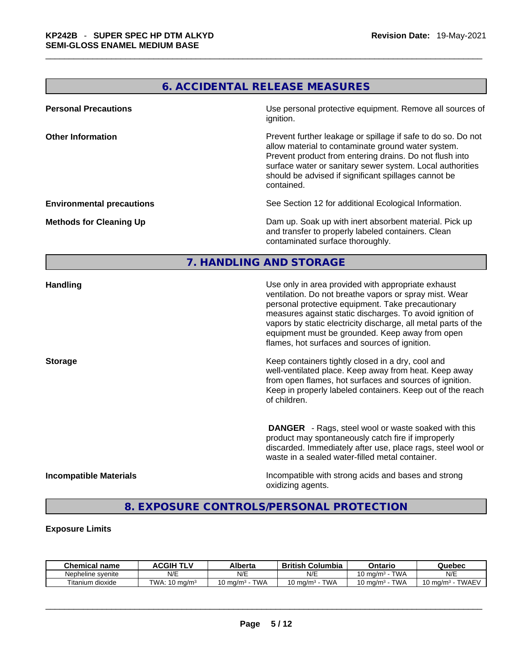# **6. ACCIDENTAL RELEASE MEASURES**

| <b>Personal Precautions</b>      | Use personal protective equipment. Remove all sources of<br>ignition.                                                                                                                                                                                                                                            |
|----------------------------------|------------------------------------------------------------------------------------------------------------------------------------------------------------------------------------------------------------------------------------------------------------------------------------------------------------------|
| <b>Other Information</b>         | Prevent further leakage or spillage if safe to do so. Do not<br>allow material to contaminate ground water system.<br>Prevent product from entering drains. Do not flush into<br>surface water or sanitary sewer system. Local authorities<br>should be advised if significant spillages cannot be<br>contained. |
| <b>Environmental precautions</b> | See Section 12 for additional Ecological Information.                                                                                                                                                                                                                                                            |
| <b>Methods for Cleaning Up</b>   | Dam up. Soak up with inert absorbent material. Pick up<br>and transfer to properly labeled containers. Clean<br>contaminated surface thoroughly.                                                                                                                                                                 |

#### **7. HANDLING AND STORAGE**

| <b>Handling</b>               | Use only in area provided with appropriate exhaust<br>ventilation. Do not breathe vapors or spray mist. Wear<br>personal protective equipment. Take precautionary<br>measures against static discharges. To avoid ignition of<br>vapors by static electricity discharge, all metal parts of the<br>equipment must be grounded. Keep away from open<br>flames, hot surfaces and sources of ignition. |
|-------------------------------|-----------------------------------------------------------------------------------------------------------------------------------------------------------------------------------------------------------------------------------------------------------------------------------------------------------------------------------------------------------------------------------------------------|
| <b>Storage</b>                | Keep containers tightly closed in a dry, cool and<br>well-ventilated place. Keep away from heat. Keep away<br>from open flames, hot surfaces and sources of ignition.<br>Keep in properly labeled containers. Keep out of the reach<br>of children.                                                                                                                                                 |
|                               | <b>DANGER</b> - Rags, steel wool or waste soaked with this<br>product may spontaneously catch fire if improperly<br>discarded. Immediately after use, place rags, steel wool or<br>waste in a sealed water-filled metal container.                                                                                                                                                                  |
| <b>Incompatible Materials</b> | Incompatible with strong acids and bases and strong<br>oxidizing agents.                                                                                                                                                                                                                                                                                                                            |

## **8. EXPOSURE CONTROLS/PERSONAL PROTECTION**

#### **Exposure Limits**

| <b>Chemical</b><br>name | <b>ACGIH</b>                       | Alberta                    | British<br>Columbia | Ontario                          | Quebec                              |
|-------------------------|------------------------------------|----------------------------|---------------------|----------------------------------|-------------------------------------|
| Nepheline svenite       | N/E                                | N/E                        | N/E                 | <b>TWA</b><br>10 ma/m $^{\rm 3}$ | N/E                                 |
| Titanium.<br>dioxide    | TWA:<br>$\cdot$ 10 ma/m $^{\circ}$ | TWA<br>$10 \text{ ma/m}^3$ | TWA<br>. J ma/mª    | <b>TWA</b><br>10 mg/m $3$        | <b>TWAEV</b><br>ma/m <sup>3</sup> س |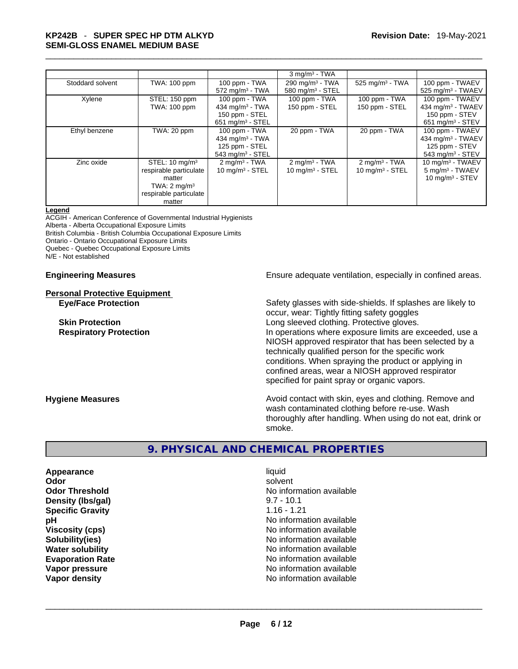# \_\_\_\_\_\_\_\_\_\_\_\_\_\_\_\_\_\_\_\_\_\_\_\_\_\_\_\_\_\_\_\_\_\_\_\_\_\_\_\_\_\_\_\_\_\_\_\_\_\_\_\_\_\_\_\_\_\_\_\_\_\_\_\_\_\_\_\_\_\_\_\_\_\_\_\_\_\_\_\_\_\_\_\_\_\_\_\_\_\_\_\_\_ **KP242B** - **SUPER SPEC HP DTM ALKYD SEMI-GLOSS ENAMEL MEDIUM BASE**

|                  |                                                                                                                              |                                                                                           | $3$ mg/m <sup>3</sup> - TWA                      |                                                 |                                                                                                    |
|------------------|------------------------------------------------------------------------------------------------------------------------------|-------------------------------------------------------------------------------------------|--------------------------------------------------|-------------------------------------------------|----------------------------------------------------------------------------------------------------|
| Stoddard solvent | TWA: 100 ppm                                                                                                                 | $100$ ppm $-$ TWA<br>572 mg/m $3$ - TWA                                                   | 290 mg/m $3$ - TWA<br>580 mg/m $3 -$ STEL        | 525 mg/m <sup>3</sup> - TWA                     | 100 ppm - TWAEV<br>525 mg/m <sup>3</sup> - TWAEV                                                   |
| Xylene           | STEL: 150 ppm<br>TWA: 100 ppm                                                                                                | 100 ppm - TWA<br>434 mg/m <sup>3</sup> - TWA<br>150 ppm - STEL<br>651 mg/m $3 -$ STEL     | 100 ppm - TWA<br>150 ppm - STEL                  | 100 ppm - TWA<br>150 ppm - STEL                 | 100 ppm - TWAEV<br>434 mg/m <sup>3</sup> - TWAEV<br>150 ppm - STEV<br>651 mg/m <sup>3</sup> - STEV |
| Ethyl benzene    | TWA: 20 ppm                                                                                                                  | $100$ ppm $-$ TWA<br>434 mg/m <sup>3</sup> - TWA<br>125 ppm - STEL<br>543 mg/m $3 -$ STEL | 20 ppm - TWA                                     | 20 ppm - TWA                                    | 100 ppm - TWAEV<br>434 mg/m $3$ - TWAEV<br>125 ppm - STEV<br>543 mg/m <sup>3</sup> - STEV          |
| Zinc oxide       | STEL: $10 \text{ mg/m}^3$<br>respirable particulate<br>matter<br>TWA: $2 \text{ mg/m}^3$<br>respirable particulate<br>matter | $2 \text{ mg/m}^3$ - TWA<br>$10$ mg/m $3 -$ STEL                                          | $2 \text{ mg/m}^3$ - TWA<br>$10$ mg/m $3 -$ STEL | $2 \text{mq/m}^3$ - TWA<br>$10$ mg/m $3 -$ STEL | 10 mg/m <sup>3</sup> - TWAEV<br>5 mg/m <sup>3</sup> - TWAEV<br>10 mg/m $3 -$ STEV                  |

#### **Legend**

ACGIH - American Conference of Governmental Industrial Hygienists Alberta - Alberta Occupational Exposure Limits British Columbia - British Columbia Occupational Exposure Limits Ontario - Ontario Occupational Exposure Limits Quebec - Quebec Occupational Exposure Limits N/E - Not established

# **Personal Protective Equipment**

**Engineering Measures Ensure adequate ventilation, especially in confined areas.** 

**Eye/Face Protection** Safety glasses with side-shields. If splashes are likely to occur, wear: Tightly fitting safety goggles **Skin Protection Skin Protection Cong sleeved clothing. Protective gloves. Respiratory Protection In operations where exposure limits are exceeded, use a** local protection NIOSH approved respirator that has been selected by a technically qualified person for the specific work conditions. When spraying the product or applying in confined areas, wear a NIOSH approved respirator specified for paint spray or organic vapors.

**Hygiene Measures Avoid contact with skin, eyes and clothing. Remove and Avoid contact with skin, eyes and clothing. Remove and Avoid contact with skin, eyes and clothing. Remove and** wash contaminated clothing before re-use. Wash thoroughly after handling. When using do not eat, drink or smoke.

#### **9. PHYSICAL AND CHEMICAL PROPERTIES**

**Appearance** liquid **Density (lbs/gal)** 9.7 - 10.1 **Specific Gravity** 1.16 - 1.21 **Vapor density** No information available \_\_\_\_\_\_\_\_\_\_\_\_\_\_\_\_\_\_\_\_\_\_\_\_\_\_\_\_\_\_\_\_\_\_\_\_\_\_\_\_\_\_\_\_\_\_\_\_\_\_\_\_\_\_\_\_\_\_\_\_\_\_\_\_\_\_\_\_\_\_\_\_\_\_\_\_\_\_\_\_\_\_\_\_\_\_\_\_\_\_\_\_\_

**Odor Solvent Solvent Solvent Solvent Odor Threshold No information available No information available pH pH 1 Viscosity (cps) Viscosity (cps) No information available Solubility(ies)** No information available **Water solubility Water solubility No information available Evaporation Rate No information available No information available Vapor pressure and area in the contract of the Vapor pressure and available** value of the Vapor density of Vapor<br>
Vapor density and available value of Vapor density of Vapor density of Vapor density of Vapor density of Va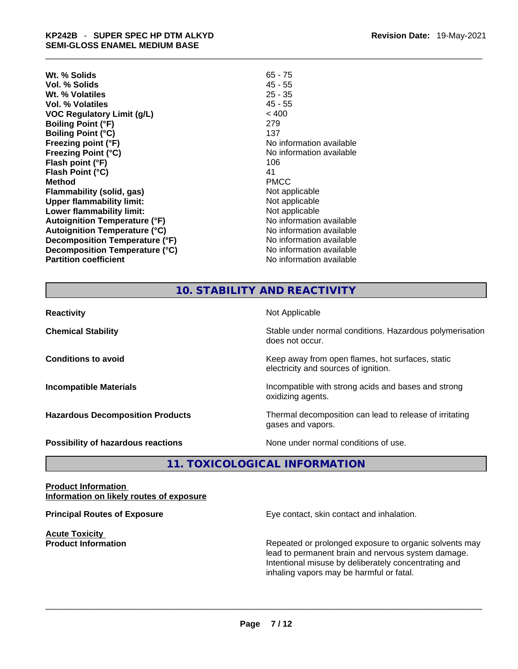# \_\_\_\_\_\_\_\_\_\_\_\_\_\_\_\_\_\_\_\_\_\_\_\_\_\_\_\_\_\_\_\_\_\_\_\_\_\_\_\_\_\_\_\_\_\_\_\_\_\_\_\_\_\_\_\_\_\_\_\_\_\_\_\_\_\_\_\_\_\_\_\_\_\_\_\_\_\_\_\_\_\_\_\_\_\_\_\_\_\_\_\_\_ **KP242B** - **SUPER SPEC HP DTM ALKYD SEMI-GLOSS ENAMEL MEDIUM BASE**

- **Wt. % Solids** 65 75 **Vol. % Solids** 45 - 55 **Wt. % Volatiles** 25 - 35 **Vol. % Volatiles** 45 - 55 **VOC Regulatory Limit (g/L)** < 400 **Boiling Point (°F)** 279 **Boiling Point (°C)** 137 **Freezing point (°F)**<br> **Freezing Point (°C)**<br> **Freezing Point (°C)**<br> **COVERTY:**<br> **COVERTY:**<br> **No information available Flash point (°F)** 106 **Flash Point (°C)** 41<br> **Method** PMCC **Method** PMCC **Flammability (solid, gas)** Not applicable **Upper flammability limit:**<br> **Lower flammability limit:**<br>
Not applicable<br>
Not applicable **Lower flammability limit:**<br> **Autoignition Temperature (°F)** Not applicable Not applicable available **Autoignition Temperature (°F) Autoignition Temperature (°C)** No information available **Decomposition Temperature (°F)** No information available **Decomposition Temperature (°C)** No information available **Partition coefficient Contract Contract Contract Contract Contract Contract Contract Contract Contract Contract Contract Contract Contract Contract Contract Contract Contract Contract Contract Contract Contract Contract**
- **Revision Date:** 19-May-2021
- **Freezing Point (°C)** No information available

## **10. STABILITY AND REACTIVITY**

| <b>Reactivity</b>                       | Not Applicable                                                                           |
|-----------------------------------------|------------------------------------------------------------------------------------------|
| <b>Chemical Stability</b>               | Stable under normal conditions. Hazardous polymerisation<br>does not occur.              |
| <b>Conditions to avoid</b>              | Keep away from open flames, hot surfaces, static<br>electricity and sources of ignition. |
| <b>Incompatible Materials</b>           | Incompatible with strong acids and bases and strong<br>oxidizing agents.                 |
| <b>Hazardous Decomposition Products</b> | Thermal decomposition can lead to release of irritating<br>gases and vapors.             |
| Possibility of hazardous reactions      | None under normal conditions of use.                                                     |

**11. TOXICOLOGICAL INFORMATION** 

#### **Product Information Information on likely routes of exposure**

**Acute Toxicity** 

**Principal Routes of Exposure Exposure** Eye contact, skin contact and inhalation.

**Product Information Repeated or prolonged exposure to organic solvents may** Repeated or prolonged exposure to organic solvents may lead to permanent brain and nervous system damage. Intentional misuse by deliberately concentrating and inhaling vapors may be harmful or fatal.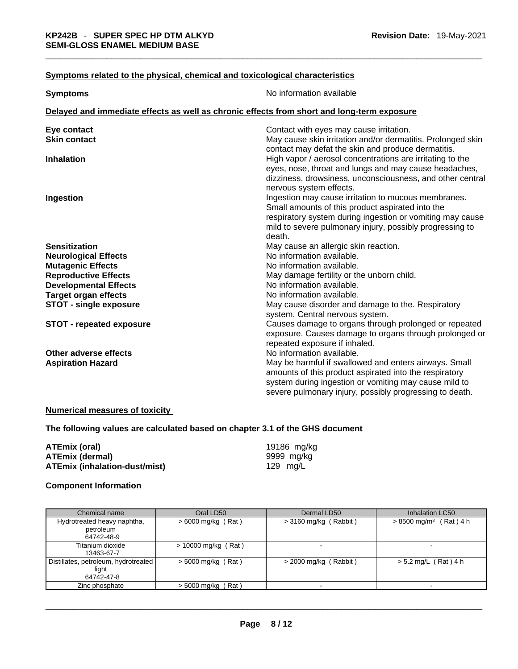#### **Symptoms** related to the physical, chemical and toxicological characteristics

| <b>Symptoms</b>                                                                            | No information available                                    |
|--------------------------------------------------------------------------------------------|-------------------------------------------------------------|
| Delayed and immediate effects as well as chronic effects from short and long-term exposure |                                                             |
| Eye contact                                                                                | Contact with eyes may cause irritation.                     |
| <b>Skin contact</b>                                                                        | May cause skin irritation and/or dermatitis. Prolonged skin |
|                                                                                            | contact may defat the skin and produce dermatitis.          |
| <b>Inhalation</b>                                                                          | High vapor / aerosol concentrations are irritating to the   |
|                                                                                            | eyes, nose, throat and lungs and may cause headaches,       |
|                                                                                            | dizziness, drowsiness, unconsciousness, and other central   |
|                                                                                            | nervous system effects.                                     |
| Ingestion                                                                                  | Ingestion may cause irritation to mucous membranes.         |
|                                                                                            | Small amounts of this product aspirated into the            |
|                                                                                            | respiratory system during ingestion or vomiting may cause   |
|                                                                                            | mild to severe pulmonary injury, possibly progressing to    |
|                                                                                            | death.                                                      |
| <b>Sensitization</b>                                                                       | May cause an allergic skin reaction.                        |
| <b>Neurological Effects</b>                                                                | No information available.                                   |
| <b>Mutagenic Effects</b>                                                                   | No information available.                                   |
| <b>Reproductive Effects</b>                                                                | May damage fertility or the unborn child.                   |
| <b>Developmental Effects</b>                                                               | No information available.                                   |
| <b>Target organ effects</b>                                                                | No information available.                                   |
| <b>STOT - single exposure</b>                                                              | May cause disorder and damage to the. Respiratory           |
|                                                                                            | system. Central nervous system.                             |
| <b>STOT - repeated exposure</b>                                                            | Causes damage to organs through prolonged or repeated       |
|                                                                                            | exposure. Causes damage to organs through prolonged or      |
|                                                                                            | repeated exposure if inhaled.                               |
| Other adverse effects                                                                      | No information available.                                   |
| <b>Aspiration Hazard</b>                                                                   | May be harmful if swallowed and enters airways. Small       |
|                                                                                            | amounts of this product aspirated into the respiratory      |
|                                                                                            | system during ingestion or vomiting may cause mild to       |
|                                                                                            | severe pulmonary injury, possibly progressing to death.     |

#### **Numerical measures of toxicity**

**The following values are calculated based on chapter 3.1 of the GHS document**

| ATEmix (oral)                 |  |
|-------------------------------|--|
| <b>ATEmix (dermal)</b>        |  |
| ATEmix (inhalation-dust/mist) |  |

**ATEmix (oral)** 19186 mg/kg **ATEmix (dermal)** 9999 mg/kg **ATEmix (inhalation-dust/mist)** 129 mg/L

#### **Component Information**

| Chemical name                                               | Oral LD50             | Dermal LD50             | Inhalation LC50                      |
|-------------------------------------------------------------|-----------------------|-------------------------|--------------------------------------|
| Hydrotreated heavy naphtha,<br>petroleum<br>64742-48-9      | $>6000$ mg/kg (Rat)   | $>$ 3160 mg/kg (Rabbit) | $> 8500$ mg/m <sup>3</sup> (Rat) 4 h |
| Titanium dioxide<br>13463-67-7                              | $> 10000$ mg/kg (Rat) |                         |                                      |
| Distillates, petroleum, hydrotreated<br>light<br>64742-47-8 | $>$ 5000 mg/kg (Rat)  | $>$ 2000 mg/kg (Rabbit) | $> 5.2$ mg/L (Rat) 4 h               |
| Zinc phosphate                                              | $>$ 5000 mg/kg (Rat)  |                         |                                      |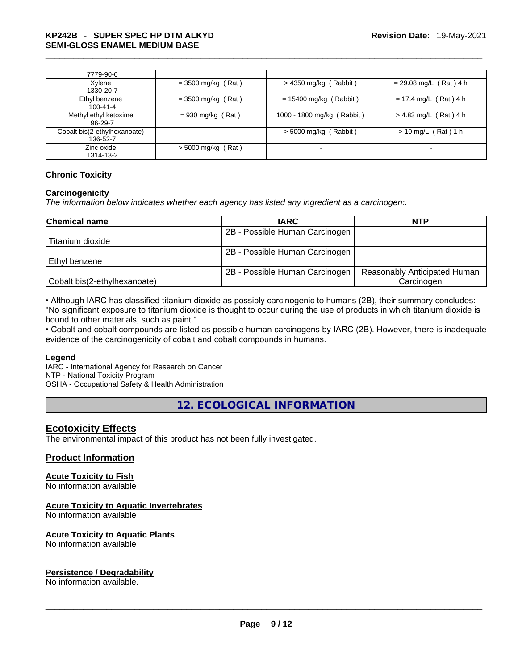| 7779-90-0                                |                      |                            |                          |
|------------------------------------------|----------------------|----------------------------|--------------------------|
| Xylene<br>1330-20-7                      | $=$ 3500 mg/kg (Rat) | $>$ 4350 mg/kg (Rabbit)    | $= 29.08$ mg/L (Rat) 4 h |
| Ethyl benzene<br>$100 - 41 - 4$          | $=$ 3500 mg/kg (Rat) | $= 15400$ mg/kg (Rabbit)   | $= 17.4$ mg/L (Rat) 4 h  |
| Methyl ethyl ketoxime<br>96-29-7         | $= 930$ mg/kg (Rat)  | 1000 - 1800 mg/kg (Rabbit) | $> 4.83$ mg/L (Rat) 4 h  |
| Cobalt bis(2-ethylhexanoate)<br>136-52-7 | ۰                    | $> 5000$ mg/kg (Rabbit)    | $> 10$ mg/L (Rat) 1 h    |
| Zinc oxide<br>1314-13-2                  | $>$ 5000 mg/kg (Rat) |                            |                          |

#### **Chronic Toxicity**

#### **Carcinogenicity**

*The information below indicates whether each agency has listed any ingredient as a carcinogen:.* 

| <b>Chemical name</b>         | <b>IARC</b>                    | <b>NTP</b>                   |
|------------------------------|--------------------------------|------------------------------|
|                              | 2B - Possible Human Carcinogen |                              |
| Titanium dioxide             |                                |                              |
|                              | 2B - Possible Human Carcinogen |                              |
| l Ethvl benzene              |                                |                              |
|                              | 2B - Possible Human Carcinogen | Reasonably Anticipated Human |
| Cobalt bis(2-ethylhexanoate) |                                | Carcinogen                   |

• Although IARC has classified titanium dioxide as possibly carcinogenic to humans (2B), their summary concludes: "No significant exposure to titanium dioxide is thought to occur during the use of products in which titanium dioxide is bound to other materials, such as paint."

• Cobalt and cobalt compounds are listed as possible human carcinogens by IARC (2B). However, there is inadequate evidence of the carcinogenicity of cobalt and cobalt compounds in humans.

#### **Legend**

IARC - International Agency for Research on Cancer NTP - National Toxicity Program OSHA - Occupational Safety & Health Administration

**12. ECOLOGICAL INFORMATION** 

#### **Ecotoxicity Effects**

The environmental impact of this product has not been fully investigated.

#### **Product Information**

#### **Acute Toxicity to Fish**

No information available

#### **Acute Toxicity to Aquatic Invertebrates**

No information available

#### **Acute Toxicity to Aquatic Plants**

# No information available \_\_\_\_\_\_\_\_\_\_\_\_\_\_\_\_\_\_\_\_\_\_\_\_\_\_\_\_\_\_\_\_\_\_\_\_\_\_\_\_\_\_\_\_\_\_\_\_\_\_\_\_\_\_\_\_\_\_\_\_\_\_\_\_\_\_\_\_\_\_\_\_\_\_\_\_\_\_\_\_\_\_\_\_\_\_\_\_\_\_\_\_\_ **Persistence / Degradability**

No information available.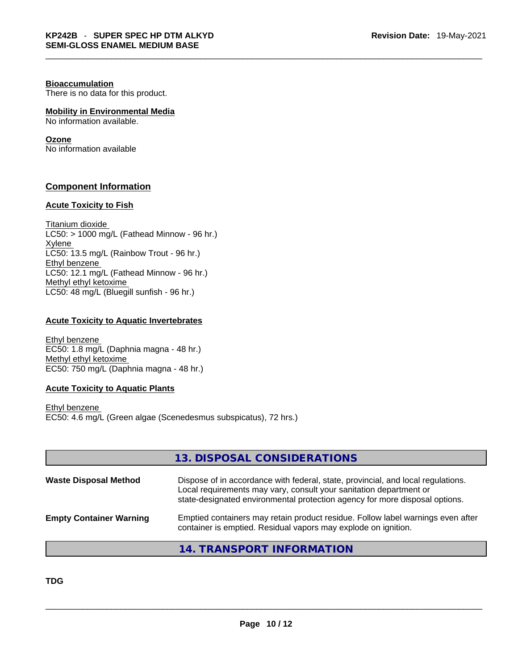#### **Bioaccumulation**

There is no data for this product.

#### **Mobility in Environmental Media**

No information available.

#### **Ozone**

No information available

#### **Component Information**

#### **Acute Toxicity to Fish**

Titanium dioxide  $LC50:$  > 1000 mg/L (Fathead Minnow - 96 hr.) Xylene LC50: 13.5 mg/L (Rainbow Trout - 96 hr.) Ethyl benzene LC50: 12.1 mg/L (Fathead Minnow - 96 hr.) Methyl ethyl ketoxime LC50: 48 mg/L (Bluegill sunfish - 96 hr.)

#### **Acute Toxicity to Aquatic Invertebrates**

Ethyl benzene EC50: 1.8 mg/L (Daphnia magna - 48 hr.) Methyl ethyl ketoxime EC50: 750 mg/L (Daphnia magna - 48 hr.)

#### **Acute Toxicity to Aquatic Plants**

Ethyl benzene EC50: 4.6 mg/L (Green algae (Scenedesmus subspicatus), 72 hrs.)

|                                | 13. DISPOSAL CONSIDERATIONS                                                                                                                                                                                                           |
|--------------------------------|---------------------------------------------------------------------------------------------------------------------------------------------------------------------------------------------------------------------------------------|
| <b>Waste Disposal Method</b>   | Dispose of in accordance with federal, state, provincial, and local regulations.<br>Local requirements may vary, consult your sanitation department or<br>state-designated environmental protection agency for more disposal options. |
| <b>Empty Container Warning</b> | Emptied containers may retain product residue. Follow label warnings even after<br>container is emptied. Residual vapors may explode on ignition.                                                                                     |

### **14. TRANSPORT INFORMATION**

**TDG**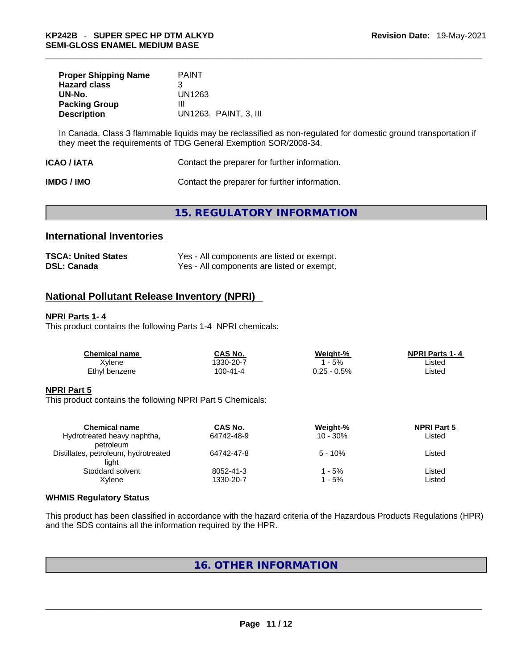| <b>Proper Shipping Name</b><br><b>Hazard class</b> | <b>PAINT</b><br>З     |
|----------------------------------------------------|-----------------------|
| UN-No.                                             | UN1263                |
| <b>Packing Group</b>                               | Ш                     |
| <b>Description</b>                                 | UN1263. PAINT, 3. III |

In Canada, Class 3 flammable liquids may be reclassified as non-regulated for domestic ground transportation if they meet the requirements of TDG General Exemption SOR/2008-34.

| ICAO / IATA | Contact the preparer for further information. |  |
|-------------|-----------------------------------------------|--|
|-------------|-----------------------------------------------|--|

**IMDG / IMO Contact the preparer for further information.** 

### **15. REGULATORY INFORMATION**

#### **International Inventories**

| <b>TSCA: United States</b> | Yes - All components are listed or exempt. |
|----------------------------|--------------------------------------------|
| <b>DSL: Canada</b>         | Yes - All components are listed or exempt. |

#### **National Pollutant Release Inventory (NPRI)**

#### **NPRI Parts 1- 4**

This product contains the following Parts 1-4 NPRI chemicals:

| <b>Chemical name</b> | CAS No.  | Weight-%    | <b>NPRI Parts 1-4</b> |  |
|----------------------|----------|-------------|-----------------------|--|
| Xvlene               | 330-20-7 | $-5%$       | Listed                |  |
| Ethyl benzene        | 100-41-4 | 0.25 - 0.5% | Listed                |  |

#### **NPRI Part 5**

This product contains the following NPRI Part 5 Chemicals:

| <b>Chemical name</b>                 | CAS No.    | Weight-%    | <b>NPRI Part 5</b> |  |
|--------------------------------------|------------|-------------|--------------------|--|
| Hydrotreated heavy naphtha,          | 64742-48-9 | $10 - 30\%$ | Listed             |  |
| petroleum                            |            |             |                    |  |
| Distillates, petroleum, hydrotreated | 64742-47-8 | $5 - 10%$   | Listed             |  |
| light                                |            |             |                    |  |
| Stoddard solvent                     | 8052-41-3  | - 5%        | Listed             |  |
| Xvlene                               | 1330-20-7  | - 5%        | Listed             |  |
|                                      |            |             |                    |  |

#### **WHMIS Regulatory Status**

This product has been classified in accordance with the hazard criteria of the Hazardous Products Regulations (HPR) and the SDS contains all the information required by the HPR.

### **16. OTHER INFORMATION**